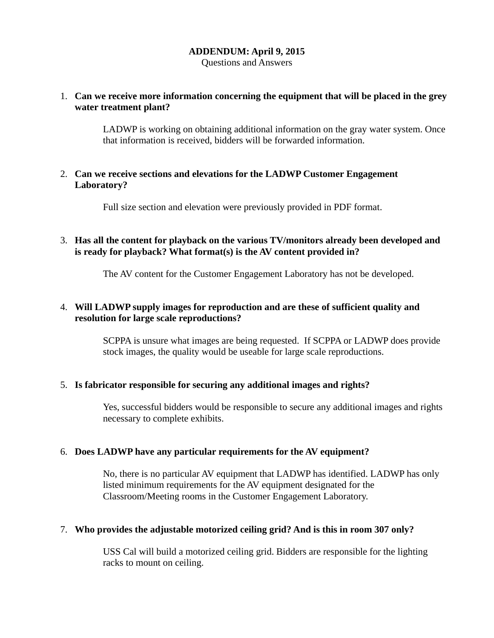#### **ADDENDUM: April 9, 2015**

Questions and Answers

# 1. **Can we receive more information concerning the equipment that will be placed in the grey water treatment plant?**

LADWP is working on obtaining additional information on the gray water system. Once that information is received, bidders will be forwarded information.

#### 2. **Can we receive sections and elevations for the LADWP Customer Engagement Laboratory?**

Full size section and elevation were previously provided in PDF format.

# 3. **Has all the content for playback on the various TV/monitors already been developed and is ready for playback? What format(s) is the AV content provided in?**

The AV content for the Customer Engagement Laboratory has not be developed.

#### 4. **Will LADWP supply images for reproduction and are these of sufficient quality and resolution for large scale reproductions?**

SCPPA is unsure what images are being requested. If SCPPA or LADWP does provide stock images, the quality would be useable for large scale reproductions.

# 5. **Is fabricator responsible for securing any additional images and rights?**

Yes, successful bidders would be responsible to secure any additional images and rights necessary to complete exhibits.

# 6. **Does LADWP have any particular requirements for the AV equipment?**

No, there is no particular AV equipment that LADWP has identified. LADWP has only listed minimum requirements for the AV equipment designated for the Classroom/Meeting rooms in the Customer Engagement Laboratory.

#### 7. **Who provides the adjustable motorized ceiling grid? And is this in room 307 only?**

USS Cal will build a motorized ceiling grid. Bidders are responsible for the lighting racks to mount on ceiling.